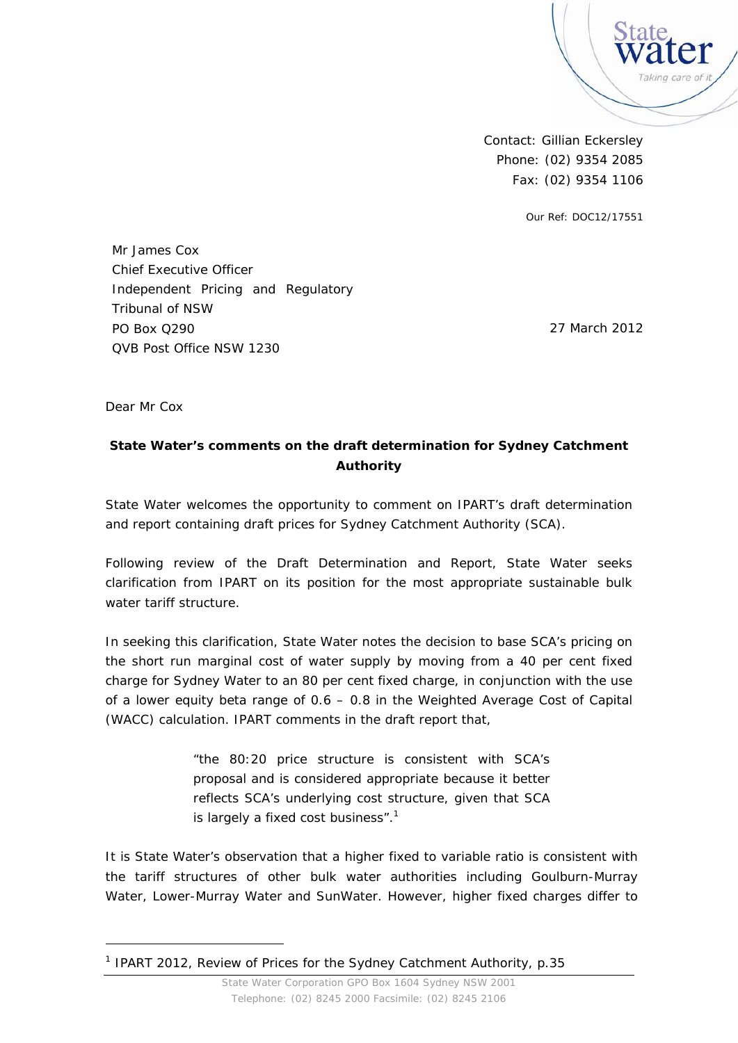

 Contact: Gillian Eckersley Phone: (02) 9354 2085 Fax: (02) 9354 1106

Our Ref: DOC12/17551

Mr James Cox Chief Executive Officer Independent Pricing and Regulatory Tribunal of NSW PO Box Q290 QVB Post Office NSW 1230

27 March 2012

Dear Mr Cox

-

## **State Water's comments on the draft determination for Sydney Catchment Authority**

State Water welcomes the opportunity to comment on IPART's draft determination and report containing draft prices for Sydney Catchment Authority (SCA).

Following review of the Draft Determination and Report, State Water seeks clarification from IPART on its position for the most appropriate sustainable bulk water tariff structure.

In seeking this clarification, State Water notes the decision to base SCA's pricing on the short run marginal cost of water supply by moving from a 40 per cent fixed charge for Sydney Water to an 80 per cent fixed charge, in conjunction with the use of a lower equity beta range of  $0.6 - 0.8$  in the Weighted Average Cost of Capital (WACC) calculation. IPART comments in the draft report that,

> *"the 80:20 price structure is consistent with SCA's proposal and is considered appropriate because it better reflects SCA's underlying cost structure, given that SCA is largely a fixed cost business".1*

It is State Water's observation that a higher fixed to variable ratio is consistent with the tariff structures of other bulk water authorities including Goulburn-Murray Water, Lower-Murray Water and SunWater. However, higher fixed charges differ to

<sup>&</sup>lt;sup>1</sup> IPART 2012, *Review of Prices for the Sydney Catchment Authority*, p.35